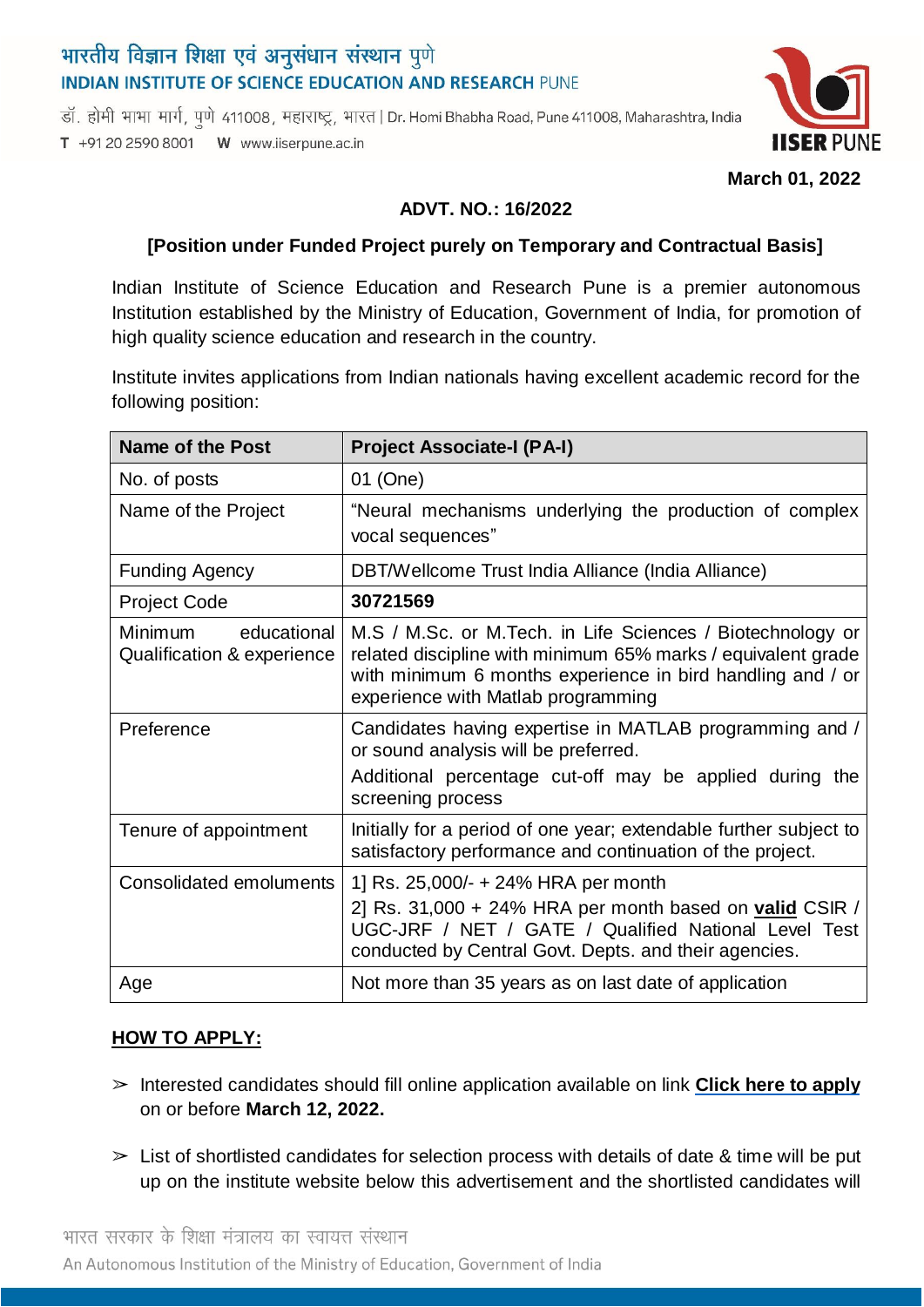# भारतीय विज्ञान शिक्षा एवं अनुसंधान संस्थान पुणे **INDIAN INSTITUTE OF SCIENCE EDUCATION AND RESEARCH PUNE**

डॉ. होमी भाभा मार्ग, पुणे 411008, महाराष्ट्र, भारत | Dr. Homi Bhabha Road, Pune 411008, Maharashtra, India T +91 20 2590 8001 W www.iiserpune.ac.in



**March 01, 2022**

#### **ADVT. NO.: 16/2022**

#### **[Position under Funded Project purely on Temporary and Contractual Basis]**

Indian Institute of Science Education and Research Pune is a premier autonomous Institution established by the Ministry of Education, Government of India, for promotion of high quality science education and research in the country.

Institute invites applications from Indian nationals having excellent academic record for the following position:

| Name of the Post                                            | <b>Project Associate-I (PA-I)</b>                                                                                                                                                                                              |
|-------------------------------------------------------------|--------------------------------------------------------------------------------------------------------------------------------------------------------------------------------------------------------------------------------|
| No. of posts                                                | 01 (One)                                                                                                                                                                                                                       |
| Name of the Project                                         | "Neural mechanisms underlying the production of complex<br>vocal sequences"                                                                                                                                                    |
| <b>Funding Agency</b>                                       | DBT/Wellcome Trust India Alliance (India Alliance)                                                                                                                                                                             |
| <b>Project Code</b>                                         | 30721569                                                                                                                                                                                                                       |
| <b>Minimum</b><br>educational<br>Qualification & experience | M.S / M.Sc. or M.Tech. in Life Sciences / Biotechnology or<br>related discipline with minimum 65% marks / equivalent grade<br>with minimum 6 months experience in bird handling and / or<br>experience with Matlab programming |
| Preference                                                  | Candidates having expertise in MATLAB programming and /<br>or sound analysis will be preferred.<br>Additional percentage cut-off may be applied during the<br>screening process                                                |
| Tenure of appointment                                       | Initially for a period of one year; extendable further subject to<br>satisfactory performance and continuation of the project.                                                                                                 |
| Consolidated emoluments                                     | 1] Rs. 25,000/- + 24% HRA per month<br>2] Rs. 31,000 + 24% HRA per month based on valid CSIR /<br>UGC-JRF / NET / GATE / Qualified National Level Test<br>conducted by Central Govt. Depts. and their agencies.                |
| Age                                                         | Not more than 35 years as on last date of application                                                                                                                                                                          |

#### **HOW TO APPLY:**

- ➢ Interested candidates should fill online application available on link **Click here to [apply](https://forms.gle/EJGeiRQtW9DJ1AJz9)** on or before **March 12, 2022.**
- $\geq$  List of shortlisted candidates for selection process with details of date & time will be put up on the institute website below this advertisement and the shortlisted candidates will